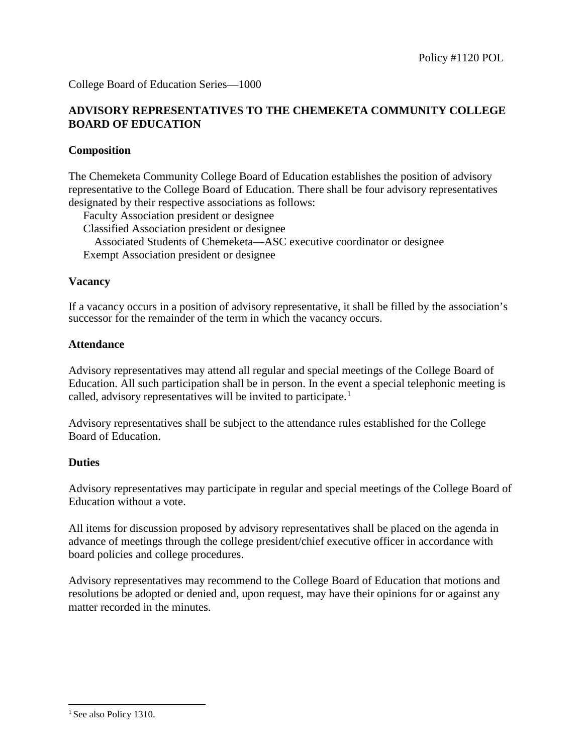College Board of Education Series—1000

# **ADVISORY REPRESENTATIVES TO THE CHEMEKETA COMMUNITY COLLEGE BOARD OF EDUCATION**

## **Composition**

The Chemeketa Community College Board of Education establishes the position of advisory representative to the College Board of Education. There shall be four advisory representatives designated by their respective associations as follows:

Faculty Association president or designee

Classified Association president or designee

Associated Students of Chemeketa—ASC executive coordinator or designee

Exempt Association president or designee

## **Vacancy**

If a vacancy occurs in a position of advisory representative, it shall be filled by the association's successor for the remainder of the term in which the vacancy occurs.

## **Attendance**

Advisory representatives may attend all regular and special meetings of the College Board of Education. All such participation shall be in person. In the event a special telephonic meeting is called, advisory representatives will be invited to participate.<sup>[1](#page-0-0)</sup>

Advisory representatives shall be subject to the attendance rules established for the College Board of Education.

## **Duties**

Advisory representatives may participate in regular and special meetings of the College Board of Education without a vote.

All items for discussion proposed by advisory representatives shall be placed on the agenda in advance of meetings through the college president/chief executive officer in accordance with board policies and college procedures.

Advisory representatives may recommend to the College Board of Education that motions and resolutions be adopted or denied and, upon request, may have their opinions for or against any matter recorded in the minutes.

j

<span id="page-0-0"></span> $<sup>1</sup>$  See also Policy 1310.</sup>